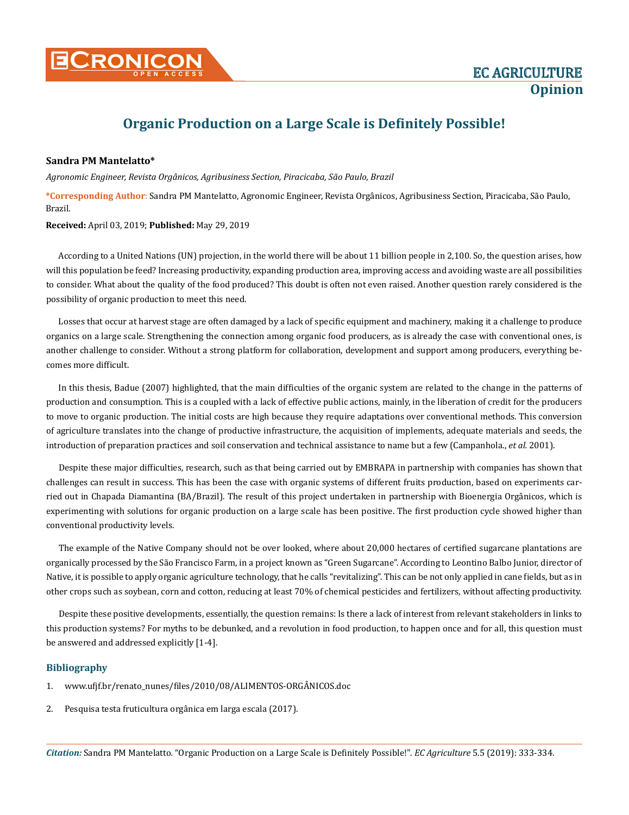

## **Organic Production on a Large Scale is Definitely Possible!**

## **Sandra PM Mantelatto\***

*Agronomic Engineer, Revista Orgânicos, Agribusiness Section, Piracicaba, São Paulo, Brazil*

**\*Corresponding Author**: Sandra PM Mantelatto, Agronomic Engineer, Revista Orgânicos, Agribusiness Section, Piracicaba, São Paulo, Brazil.

## **Received:** April 03, 2019; **Published:** May 29, 2019

According to a United Nations (UN) projection, in the world there will be about 11 billion people in 2,100. So, the question arises, how will this population be feed? Increasing productivity, expanding production area, improving access and avoiding waste are all possibilities to consider. What about the quality of the food produced? This doubt is often not even raised. Another question rarely considered is the possibility of organic production to meet this need.

Losses that occur at harvest stage are often damaged by a lack of specific equipment and machinery, making it a challenge to produce organics on a large scale. Strengthening the connection among organic food producers, as is already the case with conventional ones, is another challenge to consider. Without a strong platform for collaboration, development and support among producers, everything becomes more difficult.

In this thesis, Badue (2007) highlighted, that the main difficulties of the organic system are related to the change in the patterns of production and consumption. This is a coupled with a lack of effective public actions, mainly, in the liberation of credit for the producers to move to organic production. The initial costs are high because they require adaptations over conventional methods. This conversion of agriculture translates into the change of productive infrastructure, the acquisition of implements, adequate materials and seeds, the introduction of preparation practices and soil conservation and technical assistance to name but a few (Campanhola., *et al.* 2001).

Despite these major difficulties, research, such as that being carried out by EMBRAPA in partnership with companies has shown that challenges can result in success. This has been the case with organic systems of different fruits production, based on experiments carried out in Chapada Diamantina (BA/Brazil). The result of this project undertaken in partnership with Bioenergia Orgânicos, which is experimenting with solutions for organic production on a large scale has been positive. The first production cycle showed higher than conventional productivity levels.

The example of the Native Company should not be over looked, where about 20,000 hectares of certified sugarcane plantations are organically processed by the São Francisco Farm, in a project known as "Green Sugarcane". According to Leontino Balbo Junior, director of Native, it is possible to apply organic agriculture technology, that he calls "revitalizing". This can be not only applied in cane fields, but as in other crops such as soybean, corn and cotton, reducing at least 70% of chemical pesticides and fertilizers, without affecting productivity.

Despite these positive developments, essentially, the question remains: Is there a lack of interest from relevant stakeholders in links to this production systems? For myths to be debunked, and a revolution in food production, to happen once and for all, this question must be answered and addressed explicitly [1-4].

## **Bibliography**

- 1. [www.ufjf.br/renato\\_nunes/files/2010/08/ALIMENTOS-ORGÂNICOS.doc](http://www.ufjf.br/renato_nunes/files/2010/08/ALIMENTOS-ORGÂNICOS.doc)
- 2. [Pesquisa testa fruticultura orgânica em larga escala \(2017\).](https://www.embrapa.br/busca-de-noticias/-/noticia/2411902/pesquisa-testa-fruticultura-organica-em-larga-escala)